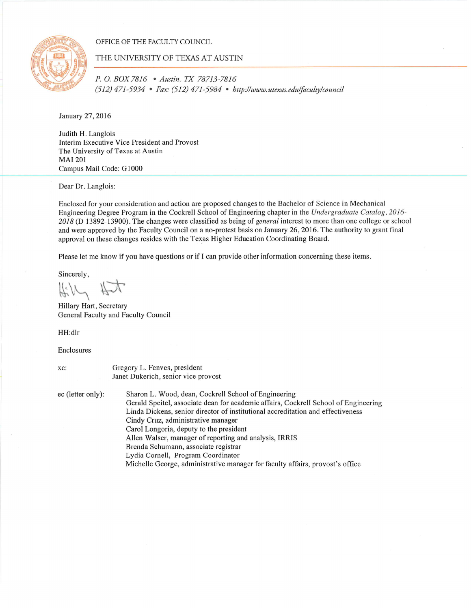OFFICE OF THE FACULTY COUNCIL



THE UNIVERSITY OF TEXAS AT AUSTIN

P. O. BOX 7816 . Austin, TX 78713-7816 (512) 471-5934 • Fax: (512) 471-5984 • http://www.utexas.edu/faculty/council

January 27, 2016

Judith H. Langlois Interim Executive Vice President and Provost The University of Texas at Austin **MAI 201** Campus Mail Code: G1000

Dear Dr. Langlois:

Enclosed for your consideration and action are proposed changes to the Bachelor of Science in Mechanical Engineering Degree Program in the Cockrell School of Engineering chapter in the Undergraduate Catalog, 2016-2018 (D 13892-13900). The changes were classified as being of *general* interest to more than one college or school and were approved by the Faculty Council on a no-protest basis on January 26, 2016. The authority to grant final approval on these changes resides with the Texas Higher Education Coordinating Board.

Please let me know if you have questions or if I can provide other information concerning these items.

Sincerely,

4:14

Hillary Hart, Secretary General Faculty and Faculty Council

HH:dlr

Enclosures

| XC:               | Gregory L. Fenves, president<br>Janet Dukerich, senior vice provost                                                                                                                                                                                                                                                                                                                                                                                                                                                                      |
|-------------------|------------------------------------------------------------------------------------------------------------------------------------------------------------------------------------------------------------------------------------------------------------------------------------------------------------------------------------------------------------------------------------------------------------------------------------------------------------------------------------------------------------------------------------------|
| ec (letter only): | Sharon L. Wood, dean, Cockrell School of Engineering<br>Gerald Speitel, associate dean for academic affairs, Cockrell School of Engineering<br>Linda Dickens, senior director of institutional accreditation and effectiveness<br>Cindy Cruz, administrative manager<br>Carol Longoria, deputy to the president<br>Allen Walser, manager of reporting and analysis, IRRIS<br>Brenda Schumann, associate registrar<br>Lydia Cornell, Program Coordinator<br>Michelle George, administrative manager for faculty affairs, provost's office |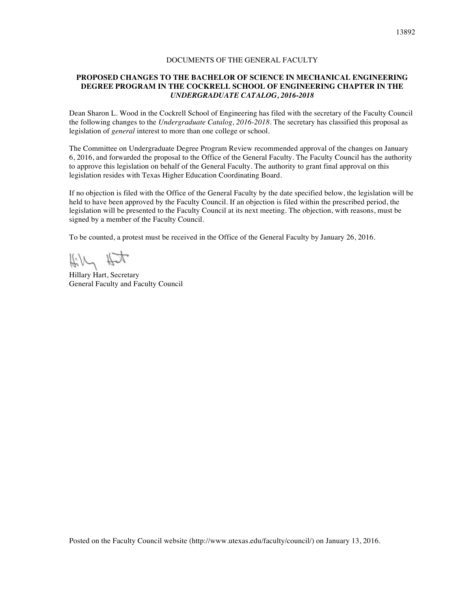## DOCUMENTS OF THE GENERAL FACULTY

## **PROPOSED CHANGES TO THE BACHELOR OF SCIENCE IN MECHANICAL ENGINEERING DEGREE PROGRAM IN THE COCKRELL SCHOOL OF ENGINEERING CHAPTER IN THE**  *UNDERGRADUATE CATALOG, 2016-2018*

Dean Sharon L. Wood in the Cockrell School of Engineering has filed with the secretary of the Faculty Council the following changes to the *Undergraduate Catalog, 2016-2018*. The secretary has classified this proposal as legislation of *general* interest to more than one college or school.

The Committee on Undergraduate Degree Program Review recommended approval of the changes on January 6, 2016, and forwarded the proposal to the Office of the General Faculty. The Faculty Council has the authority to approve this legislation on behalf of the General Faculty. The authority to grant final approval on this legislation resides with Texas Higher Education Coordinating Board.

If no objection is filed with the Office of the General Faculty by the date specified below, the legislation will be held to have been approved by the Faculty Council. If an objection is filed within the prescribed period, the legislation will be presented to the Faculty Council at its next meeting. The objection, with reasons, must be signed by a member of the Faculty Council.

To be counted, a protest must be received in the Office of the General Faculty by January 26, 2016.

the that

Hillary Hart, Secretary General Faculty and Faculty Council

Posted on the Faculty Council website (http://www.utexas.edu/faculty/council/) on January 13, 2016.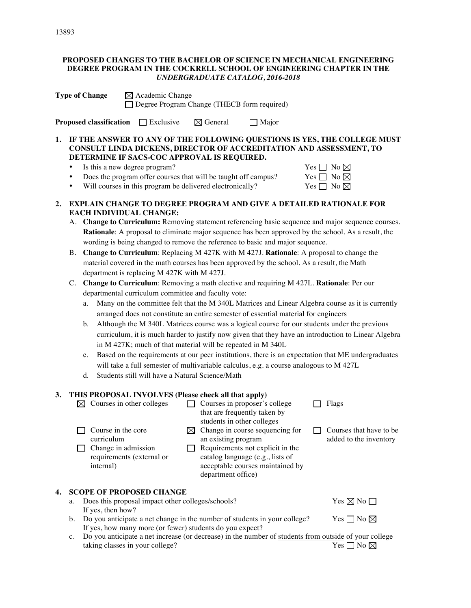# **PROPOSED CHANGES TO THE BACHELOR OF SCIENCE IN MECHANICAL ENGINEERING DEGREE PROGRAM IN THE COCKRELL SCHOOL OF ENGINEERING CHAPTER IN THE**  *UNDERGRADUATE CATALOG, 2016-2018*

|    |                                                                                                                                                   | <b>Type of Change</b><br>$\boxtimes$ Academic Change<br>Degree Program Change (THECB form required)                                                                                                                                                                                        |  |  |  |  |
|----|---------------------------------------------------------------------------------------------------------------------------------------------------|--------------------------------------------------------------------------------------------------------------------------------------------------------------------------------------------------------------------------------------------------------------------------------------------|--|--|--|--|
|    |                                                                                                                                                   | <b>Proposed classification</b><br>$\Box$ Exclusive<br>$\boxtimes$ General<br>$\Box$ Major                                                                                                                                                                                                  |  |  |  |  |
| 1. |                                                                                                                                                   | IF THE ANSWER TO ANY OF THE FOLLOWING QUESTIONS IS YES, THE COLLEGE MUST<br>CONSULT LINDA DICKENS, DIRECTOR OF ACCREDITATION AND ASSESSMENT, TO<br>DETERMINE IF SACS-COC APPROVAL IS REQUIRED.                                                                                             |  |  |  |  |
|    | ٠                                                                                                                                                 | Is this a new degree program?<br>Yes $\Box$ No $\boxtimes$                                                                                                                                                                                                                                 |  |  |  |  |
|    | ٠                                                                                                                                                 | Does the program offer courses that will be taught off campus?<br>Yes $\Box$ No $\boxtimes$                                                                                                                                                                                                |  |  |  |  |
|    | ٠                                                                                                                                                 | Will courses in this program be delivered electronically?<br>Yes $\Box$ No $\boxtimes$                                                                                                                                                                                                     |  |  |  |  |
| 2. |                                                                                                                                                   | <b>EXPLAIN CHANGE TO DEGREE PROGRAM AND GIVE A DETAILED RATIONALE FOR</b><br><b>EACH INDIVIDUAL CHANGE:</b>                                                                                                                                                                                |  |  |  |  |
|    |                                                                                                                                                   | A. Change to Curriculum: Removing statement referencing basic sequence and major sequence courses.<br>Rationale: A proposal to eliminate major sequence has been approved by the school. As a result, the<br>wording is being changed to remove the reference to basic and major sequence. |  |  |  |  |
|    | B.                                                                                                                                                | Change to Curriculum: Replacing M 427K with M 427J. Rationale: A proposal to change the<br>material covered in the math courses has been approved by the school. As a result, the Math<br>department is replacing M 427K with M 427J.                                                      |  |  |  |  |
|    | C. Change to Curriculum: Removing a math elective and requiring M 427L. Rationale: Per our<br>departmental curriculum committee and faculty vote: |                                                                                                                                                                                                                                                                                            |  |  |  |  |
|    |                                                                                                                                                   | Many on the committee felt that the M 340L Matrices and Linear Algebra course as it is currently<br>a.<br>arranged does not constitute an entire semester of essential material for engineers                                                                                              |  |  |  |  |
|    |                                                                                                                                                   | Although the M 340L Matrices course was a logical course for our students under the previous<br>b.<br>curriculum, it is much harder to justify now given that they have an introduction to Linear Algebra<br>in M 427K; much of that material will be repeated in M 340L                   |  |  |  |  |
|    |                                                                                                                                                   | Based on the requirements at our peer institutions, there is an expectation that ME undergraduates<br>c.<br>will take a full semester of multivariable calculus, e.g. a course analogous to M 427L                                                                                         |  |  |  |  |
|    |                                                                                                                                                   | Students still will have a Natural Science/Math<br>d.                                                                                                                                                                                                                                      |  |  |  |  |
| 3. |                                                                                                                                                   | THIS PROPOSAL INVOLVES (Please check all that apply)                                                                                                                                                                                                                                       |  |  |  |  |

|    |                                                                                 | <b>THIS FROFOSAL INVOLVES (FIGASE CHECK AH URE APPIV)</b>     |   |                                                                                                                                |  |                                                    |
|----|---------------------------------------------------------------------------------|---------------------------------------------------------------|---|--------------------------------------------------------------------------------------------------------------------------------|--|----------------------------------------------------|
|    | M                                                                               | Courses in other colleges                                     |   | Courses in proposer's college<br>that are frequently taken by<br>students in other colleges                                    |  | Flags                                              |
|    |                                                                                 | Course in the core<br>curriculum                              | ⊠ | Change in course sequencing for<br>an existing program                                                                         |  | Courses that have to be.<br>added to the inventory |
|    |                                                                                 | Change in admission<br>requirements (external or<br>internal) |   | Requirements not explicit in the<br>catalog language (e.g., lists of<br>acceptable courses maintained by<br>department office) |  |                                                    |
| 4. |                                                                                 | <b>SCOPE OF PROPOSED CHANGE</b>                               |   |                                                                                                                                |  |                                                    |
|    | a. Does this proposal impact other colleges/schools?<br>If yes, then how?       |                                                               |   |                                                                                                                                |  | Yes $\boxtimes$ No $\Box$                          |
|    | Do you anticipate a net change in the number of students in your college?<br>b. |                                                               |   |                                                                                                                                |  | Yes $\Box$ No $\boxtimes$                          |
|    | If yes, how many more (or fewer) students do you expect?                        |                                                               |   |                                                                                                                                |  |                                                    |
|    | c.                                                                              |                                                               |   | Do you anticipate a net increase (or decrease) in the number of students from outside of your college                          |  |                                                    |
|    | taking classes in your college?                                                 |                                                               |   |                                                                                                                                |  | Yes $\Box$ No $\boxtimes$                          |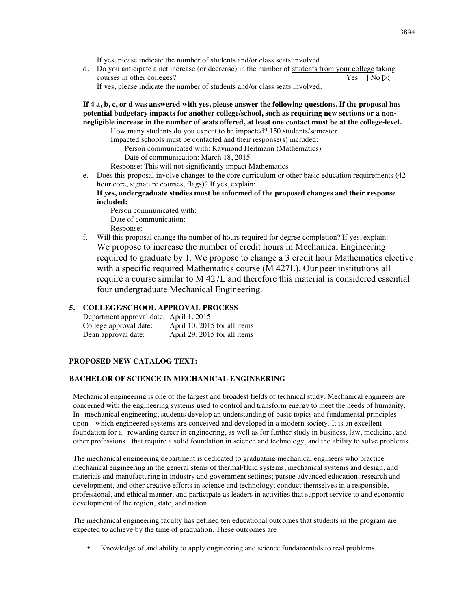If yes, please indicate the number of students and/or class seats involved.

d. Do you anticipate a net increase (or decrease) in the number of students from your college taking courses in other colleges?  $Yes \Box No \boxtimes$ 

If yes, please indicate the number of students and/or class seats involved.

# **If 4 a, b, c, or d was answered with yes, please answer the following questions. If the proposal has potential budgetary impacts for another college/school, such as requiring new sections or a nonnegligible increase in the number of seats offered, at least one contact must be at the college-level.**

How many students do you expect to be impacted? 150 students/semester

Impacted schools must be contacted and their response(s) included:

Person communicated with: Raymond Heitmann (Mathematics) Date of communication: March 18, 2015

Response: This will not significantly impact Mathematics

e. Does this proposal involve changes to the core curriculum or other basic education requirements (42 hour core, signature courses, flags)? If yes, explain:

**If yes, undergraduate studies must be informed of the proposed changes and their response included:**

Person communicated with: Date of communication: Response:

f. Will this proposal change the number of hours required for degree completion? If yes, explain: We propose to increase the number of credit hours in Mechanical Engineering required to graduate by 1. We propose to change a 3 credit hour Mathematics elective with a specific required Mathematics course (M 427L). Our peer institutions all require a course similar to M 427L and therefore this material is considered essential four undergraduate Mechanical Engineering.

# **5. COLLEGE/SCHOOL APPROVAL PROCESS**

| Department approval date: April 1, 2015 |                              |
|-----------------------------------------|------------------------------|
| College approval date:                  | April 10, 2015 for all items |
| Dean approval date:                     | April 29, 2015 for all items |

### **PROPOSED NEW CATALOG TEXT:**

### **BACHELOR OF SCIENCE IN MECHANICAL ENGINEERING**

Mechanical engineering is one of the largest and broadest fields of technical study. Mechanical engineers are concerned with the engineering systems used to control and transform energy to meet the needs of humanity. In mechanical engineering, students develop an understanding of basic topics and fundamental principles upon which engineered systems are conceived and developed in a modern society. It is an excellent foundation for a rewarding career in engineering, as well as for further study in business, law, medicine, and other professions that require a solid foundation in science and technology, and the ability to solve problems.

The mechanical engineering department is dedicated to graduating mechanical engineers who practice mechanical engineering in the general stems of thermal/fluid systems, mechanical systems and design, and materials and manufacturing in industry and government settings; pursue advanced education, research and development, and other creative efforts in science and technology; conduct themselves in a responsible, professional, and ethical manner; and participate as leaders in activities that support service to and economic development of the region, state, and nation.

The mechanical engineering faculty has defined ten educational outcomes that students in the program are expected to achieve by the time of graduation. These outcomes are

• Knowledge of and ability to apply engineering and science fundamentals to real problems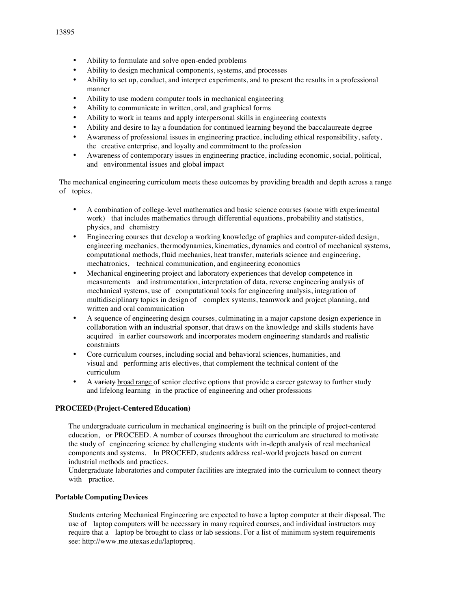- Ability to formulate and solve open-ended problems
- Ability to design mechanical components, systems, and processes
- Ability to set up, conduct, and interpret experiments, and to present the results in a professional manner
- Ability to use modern computer tools in mechanical engineering
- Ability to communicate in written, oral, and graphical forms
- Ability to work in teams and apply interpersonal skills in engineering contexts
- Ability and desire to lay a foundation for continued learning beyond the baccalaureate degree
- Awareness of professional issues in engineering practice, including ethical responsibility, safety, the creative enterprise, and loyalty and commitment to the profession
- Awareness of contemporary issues in engineering practice, including economic, social, political, and environmental issues and global impact

The mechanical engineering curriculum meets these outcomes by providing breadth and depth across a range of topics.

- A combination of college-level mathematics and basic science courses (some with experimental work) that includes mathematics through differential equations, probability and statistics, physics, and chemistry
- Engineering courses that develop a working knowledge of graphics and computer-aided design, engineering mechanics, thermodynamics, kinematics, dynamics and control of mechanical systems, computational methods, fluid mechanics, heat transfer, materials science and engineering, mechatronics, technical communication, and engineering economics
- Mechanical engineering project and laboratory experiences that develop competence in measurements and instrumentation, interpretation of data, reverse engineering analysis of mechanical systems, use of computational tools for engineering analysis, integration of multidisciplinary topics in design of complex systems, teamwork and project planning, and written and oral communication
- A sequence of engineering design courses, culminating in a major capstone design experience in collaboration with an industrial sponsor, that draws on the knowledge and skills students have acquired in earlier coursework and incorporates modern engineering standards and realistic constraints
- Core curriculum courses, including social and behavioral sciences, humanities, and visual and performing arts electives, that complement the technical content of the curriculum
- A variety broad range of senior elective options that provide a career gateway to further study and lifelong learning in the practice of engineering and other professions

## $$

The undergraduate curriculum in mechanical engineering is built on the principle of project-centered education, or PROCEED. A number of courses throughout the curriculum are structured to motivate the study of engineering science by challenging students with in-depth analysis of real mechanical components and systems. In PROCEED, students address real-world projects based on current industrial methods and practices.

Undergraduate laboratories and computer facilities are integrated into the curriculum to connect theory with practice.

### **Portable Computing Devices**

Students entering Mechanical Engineering are expected to have a laptop computer at their disposal. The use of laptop computers will be necessary in many required courses, and individual instructors may require that a laptop be brought to class or lab sessions. For a list of minimum system requirements see: http://www.me.utexas.edu/laptopreq.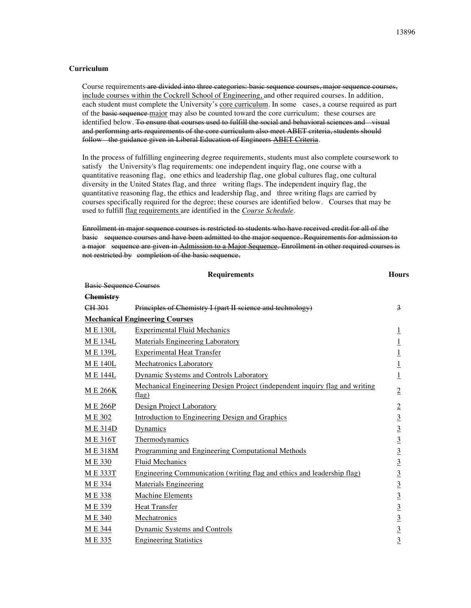### **Curriculum**

Course requirements are divided into three categories: basic sequence courses, major sequence courses, include courses within the Cockrell School of Engineering, and other required courses. In addition, each student must complete the University's core curriculum. In some cases, a course required as part of the basic sequence major may also be counted toward the core curriculum; these courses are identified below. To ensure that courses used to fulfill the social and behavioral sciences and visual and performing arts requirements of the core curriculum also meet ABET criteria, students should follow the guidance given in Liberal Education of Engineers ABET Criteria.

In the process of fulfilling engineering degree requirements, students must also complete coursework to satisfy the University's flag requirements: one independent inquiry flag, one course with a quantitative reasoning flag, one ethics and leadership flag, one global cultures flag, one cultural diversity in the United States flag, and three writing flags. The independent inquiry flag, the quantitative reasoning flag, the ethics and leadership flag, and three writing flags are carried by courses specifically required for the degree; these courses are identified below. Courses that may be used to fulfill flag requirements are identified in the *Course Schedule*.

Enrollment in major sequence courses is restricted to students who have received credit for all of the basic sequence courses and have been admitted to the major sequence. Requirements for admission to a major sequence are given in Admission to a Major Sequence. Enrollment in other required courses is not restricted by completion of the basic sequence.

|                                                                      | <b>Requirements</b>                                                                  | <b>Hours</b>                                            |  |  |  |
|----------------------------------------------------------------------|--------------------------------------------------------------------------------------|---------------------------------------------------------|--|--|--|
| <b>Basic Sequence Courses</b>                                        |                                                                                      |                                                         |  |  |  |
| <b>Chemistry</b>                                                     |                                                                                      |                                                         |  |  |  |
| Principles of Chemistry I (part II science and technology)<br>CH 301 |                                                                                      |                                                         |  |  |  |
|                                                                      | <b>Mechanical Engineering Courses</b>                                                |                                                         |  |  |  |
| <b>ME130L</b>                                                        | <b>Experimental Fluid Mechanics</b>                                                  | $\overline{1}$                                          |  |  |  |
| M E 134L                                                             | <b>Materials Engineering Laboratory</b>                                              | $\overline{1}$                                          |  |  |  |
| M E 139L                                                             | <b>Experimental Heat Transfer</b>                                                    | $\overline{1}$                                          |  |  |  |
| <b>ME140L</b>                                                        | <b>Mechatronics Laboratory</b>                                                       | $\underline{1}$                                         |  |  |  |
| <b>ME144L</b>                                                        | <b>Dynamic Systems and Controls Laboratory</b>                                       | $\overline{1}$                                          |  |  |  |
| <b>ME266K</b>                                                        | Mechanical Engineering Design Project (independent inquiry flag and writing<br>flag) | $\overline{2}$                                          |  |  |  |
| M E 266P                                                             | Design Project Laboratory                                                            | $\overline{2}$                                          |  |  |  |
| M E 302                                                              | Introduction to Engineering Design and Graphics                                      |                                                         |  |  |  |
| <b>ME314D</b>                                                        | Dynamics                                                                             | $\frac{3}{3}$ $\frac{3}{3}$                             |  |  |  |
| <b>ME316T</b>                                                        | Thermodynamics                                                                       |                                                         |  |  |  |
| ME318M                                                               | Programming and Engineering Computational Methods                                    |                                                         |  |  |  |
| M E 330                                                              | <b>Fluid Mechanics</b>                                                               | $\overline{3}$                                          |  |  |  |
| <b>ME333T</b>                                                        | Engineering Communication (writing flag and ethics and leadership flag)              | $\overline{3}$                                          |  |  |  |
| M E 334                                                              | <b>Materials Engineering</b>                                                         |                                                         |  |  |  |
| <b>ME338</b>                                                         | <b>Machine Elements</b>                                                              |                                                         |  |  |  |
| ME 339                                                               | <b>Heat Transfer</b>                                                                 |                                                         |  |  |  |
| <b>ME 340</b>                                                        | Mechatronics                                                                         |                                                         |  |  |  |
| M E 344                                                              | Dynamic Systems and Controls                                                         | $\frac{3}{3}$ $\frac{3}{3}$ $\frac{3}{3}$ $\frac{3}{3}$ |  |  |  |
| M E 335                                                              | <b>Engineering Statistics</b>                                                        |                                                         |  |  |  |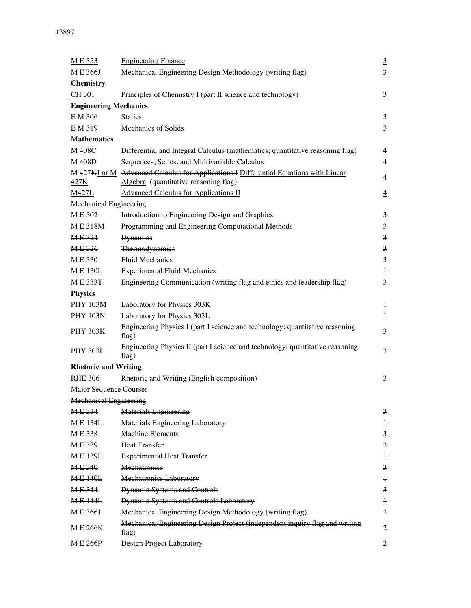| ME 353                        | <b>Engineering Finance</b>                                                                                                    | $\underline{3}$         |
|-------------------------------|-------------------------------------------------------------------------------------------------------------------------------|-------------------------|
| M E 366J                      | Mechanical Engineering Design Methodology (writing flag)                                                                      | $\overline{3}$          |
| <b>Chemistry</b>              |                                                                                                                               |                         |
| <b>CH 301</b>                 | Principles of Chemistry I (part II science and technology)                                                                    | $\overline{3}$          |
| <b>Engineering Mechanics</b>  |                                                                                                                               |                         |
| E M 306                       | <b>Statics</b>                                                                                                                | 3                       |
| E M 319                       | Mechanics of Solids                                                                                                           | 3                       |
| <b>Mathematics</b>            |                                                                                                                               |                         |
| M 408C                        | Differential and Integral Calculus (mathematics; quantitative reasoning flag)                                                 | 4                       |
| M 408D                        | Sequences, Series, and Multivariable Calculus                                                                                 | $\overline{4}$          |
| 427K                          | M 427KJ or M Advanced Calculus for Applications I Differential Equations with Linear<br>Algebra (quantitative reasoning flag) | $\overline{4}$          |
| M427L                         | <b>Advanced Calculus for Applications II</b>                                                                                  | $\overline{4}$          |
| <b>Mechanical Engineering</b> |                                                                                                                               |                         |
| ME302                         | Introduction to Engineering Design and Graphics                                                                               | $\overline{\mathbf{3}}$ |
| <b>ME318M</b>                 | Programming and Engineering Computational Methods                                                                             | $\overline{3}$          |
| <b>ME324</b>                  | <b>Dynamies</b>                                                                                                               | $\overline{3}$          |
| ME326                         | Thermodynamics                                                                                                                | $\overline{\mathbf{3}}$ |
| <b>ME330</b>                  | <b>Fluid Mechanics</b>                                                                                                        | $\overline{3}$          |
| <b>ME130L</b>                 | <b>Experimental Fluid Mechanics</b>                                                                                           | $\ddagger$              |
| <b>ME333T</b>                 | Engineering Communication (writing flag and ethics and leadership flag)                                                       | $\overline{\mathbf{3}}$ |
| <b>Physics</b>                |                                                                                                                               |                         |
| <b>PHY 103M</b>               | Laboratory for Physics 303K                                                                                                   | $\mathbf{1}$            |
| <b>PHY 103N</b>               | Laboratory for Physics 303L                                                                                                   | $\mathbf{1}$            |
| <b>PHY 303K</b>               | Engineering Physics I (part I science and technology; quantitative reasoning<br>flag)                                         | 3                       |
| <b>PHY 303L</b>               | Engineering Physics II (part I science and technology; quantitative reasoning<br>flag)                                        | 3                       |
| <b>Rhetoric and Writing</b>   |                                                                                                                               |                         |
| <b>RHE 306</b>                | Rhetoric and Writing (English composition)                                                                                    | 3                       |
| <b>Major Sequence Courses</b> |                                                                                                                               |                         |
| Mechanical Engineering        |                                                                                                                               |                         |
| <b>ME334</b>                  | <b>Materials Engineering</b>                                                                                                  | $\overline{\mathbf{3}}$ |
| <b>ME134L</b>                 | <b>Materials Engineering Laboratory</b>                                                                                       | $\pm$                   |
| <b>ME338</b>                  | <b>Machine Elements</b>                                                                                                       | 3                       |
| ME 339                        | Heat Transfer                                                                                                                 | 3                       |
| M E 139L                      | <b>Experimental Heat Transfer</b>                                                                                             | $\ddagger$              |
| <b>ME340</b>                  | <b>Mechatronics</b>                                                                                                           | 3                       |
| <b>ME140L</b>                 | <b>Mechatronics Laboratory</b>                                                                                                | $\ddagger$              |
| <b>ME344</b>                  | <b>Dynamic Systems and Controls</b>                                                                                           | 3                       |
| <b>ME144L</b>                 | Dynamic Systems and Controls Laboratory                                                                                       | $\ddagger$              |
| <b>ME366J</b>                 | Mechanical Engineering Design Methodology (writing flag)                                                                      | 3                       |
| <b>ME266K</b>                 | Mechanical Engineering Design Project (independent inquiry flag and writing<br>flag)                                          | 2                       |
| <b>ME 266P</b>                | Design Project Laboratory                                                                                                     | 2                       |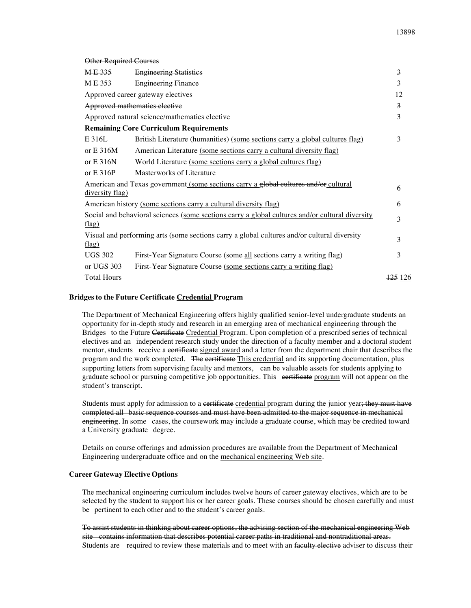#### 13898

**Other Required Courses** 

| ME335              | <b>Engineering Statistics</b>                                                                   | $\overline{3}$     |
|--------------------|-------------------------------------------------------------------------------------------------|--------------------|
| ME 353             | <b>Engineering Finance</b>                                                                      | 3                  |
|                    | Approved career gateway electives                                                               | 12                 |
|                    | Approved mathematics elective                                                                   | $\overline{a}$     |
|                    | Approved natural science/mathematics elective                                                   | 3                  |
|                    | <b>Remaining Core Curriculum Requirements</b>                                                   |                    |
| E 316L             | British Literature (humanities) (some sections carry a global cultures flag)                    | 3                  |
| or $E$ 316M        | American Literature (some sections carry a cultural diversity flag)                             |                    |
| or E 316N          | World Literature (some sections carry a global cultures flag)                                   |                    |
| or $E$ 316P        | Masterworks of Literature                                                                       |                    |
| diversity flag)    | American and Texas government (some sections carry a global cultures and/or cultural            | 6                  |
|                    | American history (some sections carry a cultural diversity flag)                                | 6                  |
| flag)              | Social and behavioral sciences (some sections carry a global cultures and/or cultural diversity | 3                  |
| flag)              | Visual and performing arts (some sections carry a global cultures and/or cultural diversity     | 3                  |
| <b>UGS 302</b>     | First-Year Signature Course (some all sections carry a writing flag)                            | 3                  |
| or UGS 303         | First-Year Signature Course (some sections carry a writing flag)                                |                    |
| <b>Total Hours</b> |                                                                                                 | <del>125</del> 126 |

#### **Bridges to the Future Certificate Credential Program**

The Department of Mechanical Engineering offers highly qualified senior-level undergraduate students an opportunity for in-depth study and research in an emerging area of mechanical engineering through the Bridges to the Future Certificate Credential Program. Upon completion of a prescribed series of technical electives and an independent research study under the direction of a faculty member and a doctoral student mentor, students receive a certificate signed award and a letter from the department chair that describes the program and the work completed. The eertificate This credential and its supporting documentation, plus supporting letters from supervising faculty and mentors, can be valuable assets for students applying to graduate school or pursuing competitive job opportunities. This exit extends program will not appear on the student's transcript.

Students must apply for admission to a certificate credential program during the junior year; they must have completed all basic sequence courses and must have been admitted to the major sequence in mechanical engineering. In some cases, the coursework may include a graduate course, which may be credited toward a University graduate degree.

Details on course offerings and admission procedures are available from the Department of Mechanical Engineering undergraduate office and on the mechanical engineering Web site.

#### **Career Gateway Elective Options**

The mechanical engineering curriculum includes twelve hours of career gateway electives, which are to be selected by the student to support his or her career goals. These courses should be chosen carefully and must be pertinent to each other and to the student's career goals.

To assist students in thinking about career options, the advising section of the mechanical engineering Web site contains information that describes potential career paths in traditional and nontraditional areas. Students are required to review these materials and to meet with an faculty elective adviser to discuss their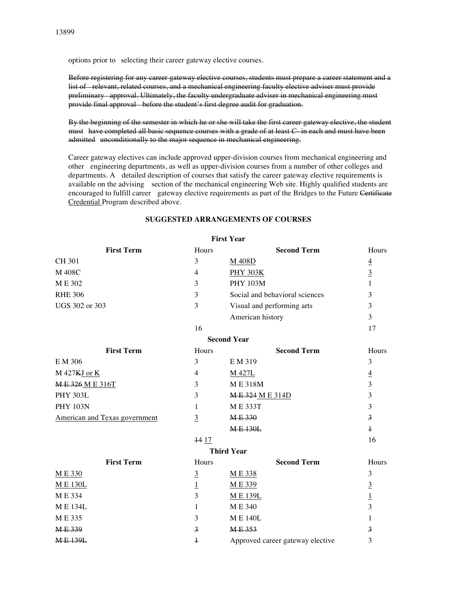options prior to selecting their career gateway elective courses.

Before registering for any career gateway elective courses, students must prepare a career statement and a list of relevant, related courses, and a mechanical engineering faculty elective adviser must provide preliminary approval. Ultimately, the faculty undergraduate adviser in mechanical engineering must provide final approval before the student's first degree audit for graduation.

By the beginning of the semester in which he or she will take the first career gateway elective, the student must have completed all basic sequence courses with a grade of at least *C-* in each and must have been admitted unconditionally to the major sequence in mechanical engineering.

Career gateway electives can include approved upper-division courses from mechanical engineering and other engineering departments, as well as upper-division courses from a number of other colleges and departments. A detailed description of courses that satisfy the career gateway elective requirements is available on the advising section of the mechanical engineering Web site. Highly qualified students are encouraged to fulfill career gateway elective requirements as part of the Bridges to the Future Certificate Credential Program described above.

| <b>First Term</b>             | Hours           | <b>Second Term</b>               | Hours                   |
|-------------------------------|-----------------|----------------------------------|-------------------------|
| <b>CH 301</b>                 | 3               | M 408D                           | $\overline{4}$          |
| M 408C                        | $\overline{4}$  | <b>PHY 303K</b>                  | $\underline{3}$         |
| M E 302                       | 3               | <b>PHY 103M</b>                  | $\mathbf{1}$            |
| <b>RHE 306</b>                | 3               | Social and behavioral sciences   | 3                       |
| UGS 302 or 303                | 3               | Visual and performing arts       | 3                       |
|                               |                 | American history                 | 3                       |
|                               | 16              |                                  | 17                      |
|                               |                 | <b>Second Year</b>               |                         |
| <b>First Term</b>             | Hours           | <b>Second Term</b>               | Hours                   |
| E M 306                       | 3               | E M 319                          | 3                       |
| M 427KJ or K                  | $\overline{4}$  | M 427L                           | $\overline{4}$          |
| ME326 ME316T                  | 3               | <b>ME318M</b>                    | 3                       |
| <b>PHY 303L</b>               | 3               | <b>ME324 ME314D</b>              | 3                       |
| <b>PHY 103N</b>               | 1               | <b>ME333T</b>                    | 3                       |
| American and Texas government | $\mathfrak{Z}$  | <b>ME330</b>                     | $\overline{3}$          |
|                               |                 | <b>ME130L</b>                    | $\ddagger$              |
|                               | 14 17           |                                  | 16                      |
|                               |                 | <b>Third Year</b>                |                         |
| <b>First Term</b>             | Hours           | <b>Second Term</b>               | Hours                   |
| <b>ME330</b>                  | $\overline{3}$  | <b>ME338</b>                     | 3                       |
| <b>ME130L</b>                 | $\underline{1}$ | ME 339                           | $\overline{3}$          |
| M E 334                       | 3               | <b>ME139L</b>                    | $\frac{1}{3}$           |
| <b>ME134L</b>                 | 1               | ME 340                           |                         |
| ME 335                        | 3               | <b>ME140L</b>                    | 1                       |
| ME339                         | $\overline{3}$  | ME353                            | $\overline{\mathbf{3}}$ |
| <b>ME139L</b>                 | $\overline{1}$  | Approved career gateway elective | 3                       |

# **SUGGESTED ARRANGEMENTS OF COURSES**

**First Voor**